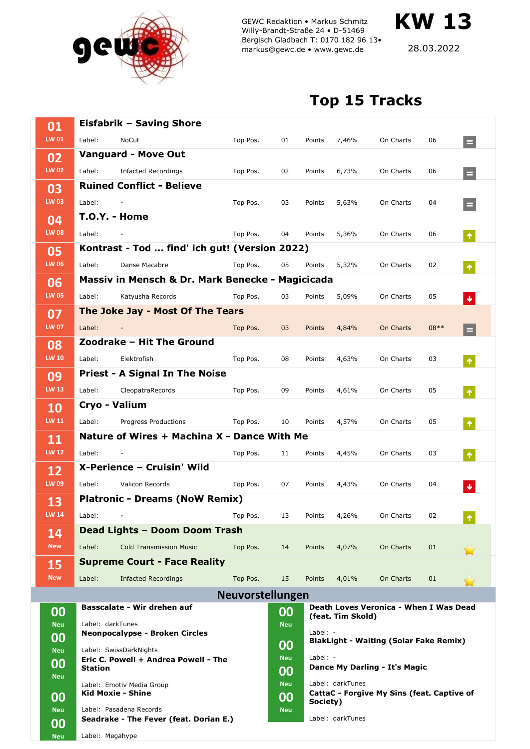

GEWC Redaktion • Markus Schmitz Willy-Brandt-Straße 24 • D-51469 Bergisch Gladbach T: 0170 182 96 13• markus@gewc.de • www.gewc.de

28.03.2022

**KW 13**

## **Top 15 Tracks**

| 01                 |                 | <b>Eisfabrik - Saving Shore</b>                                                  |                         |            |                               |                                                        |                                        |        |                  |  |  |
|--------------------|-----------------|----------------------------------------------------------------------------------|-------------------------|------------|-------------------------------|--------------------------------------------------------|----------------------------------------|--------|------------------|--|--|
|                    |                 |                                                                                  |                         |            |                               |                                                        |                                        |        |                  |  |  |
| LW 01              | Label:          | NoCut                                                                            | Top Pos.                | 01         | Points                        | 7,46%                                                  | On Charts                              | 06     | $\equiv$         |  |  |
| 02                 |                 | <b>Vanguard - Move Out</b>                                                       |                         |            |                               |                                                        |                                        |        |                  |  |  |
| <b>LW 02</b>       | Label:          | <b>Infacted Recordings</b>                                                       | Top Pos.                | 02         | Points                        | 6,73%                                                  | On Charts                              | 06     | Ξ                |  |  |
| 03<br><b>LW 03</b> |                 | <b>Ruined Conflict - Believe</b>                                                 |                         |            |                               |                                                        |                                        |        |                  |  |  |
|                    | Label:          |                                                                                  | Top Pos.                | 03         | Points                        | 5,63%                                                  | On Charts                              | 04     |                  |  |  |
| 04                 |                 | <b>T.O.Y. - Home</b>                                                             |                         |            |                               |                                                        |                                        |        |                  |  |  |
| <b>LW 08</b>       | Label:          |                                                                                  | Top Pos.                | 04         | Points                        | 5,36%                                                  | On Charts                              | 06     | $\blacklozenge$  |  |  |
| 05<br><b>LW 06</b> |                 | Kontrast - Tod  find' ich gut! (Version 2022)                                    |                         |            |                               |                                                        |                                        |        |                  |  |  |
|                    | Label:          | Danse Macabre                                                                    | Top Pos.                | 05         | Points                        | 5,32%                                                  | On Charts                              | 02     | $\blacklozenge$  |  |  |
| 06<br><b>LW 05</b> |                 | Massiv in Mensch & Dr. Mark Benecke - Magicicada                                 |                         |            |                               |                                                        |                                        |        |                  |  |  |
|                    | Label:          | Katyusha Records                                                                 | Top Pos.                | 03         | Points                        | 5,09%                                                  | On Charts                              | 05     | $\blacklozenge$  |  |  |
| 07<br><b>LW 07</b> |                 | The Joke Jay - Most Of The Tears                                                 |                         |            |                               |                                                        |                                        |        |                  |  |  |
|                    | Label:          |                                                                                  | Top Pos.                | 03         | <b>Points</b>                 | 4,84%                                                  | On Charts                              | $08**$ |                  |  |  |
| 08<br><b>LW 10</b> |                 | Zoodrake - Hit The Ground                                                        |                         |            |                               |                                                        |                                        |        |                  |  |  |
|                    | Label:          | Elektrofish                                                                      | Top Pos.                | 08         | Points                        | 4,63%                                                  | On Charts                              | 03     | $\pmb{\Uparrow}$ |  |  |
| 09                 |                 | <b>Priest - A Signal In The Noise</b>                                            |                         |            |                               |                                                        |                                        |        |                  |  |  |
| <b>LW 13</b>       | Label:          | CleopatraRecords                                                                 | Top Pos.                | 09         | Points                        | 4,61%                                                  | On Charts                              | 05     | $\blacklozenge$  |  |  |
| 10<br><b>LW 11</b> |                 | Cryo - Valium                                                                    |                         |            |                               |                                                        |                                        |        |                  |  |  |
|                    | Label:          | Progress Productions                                                             | Top Pos.                | 10         | Points                        | 4,57%                                                  | On Charts                              | 05     | $\blacklozenge$  |  |  |
| 11                 |                 | Nature of Wires + Machina X - Dance With Me                                      |                         |            |                               |                                                        |                                        |        |                  |  |  |
| <b>LW 12</b>       | Label:          |                                                                                  | Top Pos.                | 11         | Points                        | 4,45%                                                  | On Charts                              | 03     | $\blacklozenge$  |  |  |
| 12                 |                 | X-Perience - Cruisin' Wild                                                       |                         |            |                               |                                                        |                                        |        |                  |  |  |
| <b>LW 09</b>       | Label:          | Valicon Records                                                                  | Top Pos.                | 07         | Points                        | 4,43%                                                  | On Charts                              | 04     | $\blacklozenge$  |  |  |
| <b>13</b>          |                 | <b>Platronic - Dreams (NoW Remix)</b>                                            |                         |            |                               |                                                        |                                        |        |                  |  |  |
| LW 14              | Label:          |                                                                                  | Top Pos.                | 13         | Points                        | 4,26%                                                  | On Charts                              | 02     | Ť                |  |  |
| 14                 |                 | Dead Lights - Doom Doom Trash                                                    |                         |            |                               |                                                        |                                        |        |                  |  |  |
| <b>New</b>         | Label:          | <b>Cold Transmission Music</b>                                                   | Top Pos.                | 14         | Points                        | 4,07%                                                  | On Charts                              | 01     |                  |  |  |
| 15<br><b>New</b>   |                 | <b>Supreme Court - Face Reality</b>                                              |                         |            |                               |                                                        |                                        |        |                  |  |  |
|                    | Label:          | <b>Infacted Recordings</b>                                                       | Top Pos.                | 15         | Points                        | 4,01%                                                  | On Charts                              | 01     |                  |  |  |
|                    |                 |                                                                                  | <b>Neuvorstellungen</b> |            |                               |                                                        |                                        |        |                  |  |  |
| 00                 |                 | Basscalate - Wir drehen auf                                                      |                         | 00         |                               | (feat. Tim Skold)                                      | Death Loves Veronica - When I Was Dead |        |                  |  |  |
| <b>Neu</b>         |                 | Label: darkTunes                                                                 |                         |            |                               |                                                        |                                        |        |                  |  |  |
| 00                 |                 | <b>Neonpocalypse - Broken Circles</b>                                            |                         | 00         | Label: -                      | <b>BlakLight - Waiting (Solar Fake Remix)</b>          |                                        |        |                  |  |  |
| <b>Neu</b>         |                 | Label: SwissDarkNights<br>Eric C. Powell + Andrea Powell - The<br><b>Station</b> |                         |            | Label: $-$                    |                                                        |                                        |        |                  |  |  |
| 00                 |                 |                                                                                  |                         |            | Dance My Darling - It's Magic |                                                        |                                        |        |                  |  |  |
| <b>Neu</b><br>00   |                 | Label: Emotiv Media Group<br><b>Kid Moxie - Shine</b>                            |                         |            |                               | Label: darkTunes                                       |                                        |        |                  |  |  |
|                    |                 |                                                                                  |                         |            |                               | CattaC - Forgive My Sins (feat. Captive of<br>Society) |                                        |        |                  |  |  |
| <b>Neu</b>         |                 | Label: Pasadena Records<br>Seadrake - The Fever (feat. Dorian E.)                |                         | <b>Neu</b> | Label: darkTunes              |                                                        |                                        |        |                  |  |  |
| 00<br><b>Neu</b>   | Label: Megahype |                                                                                  |                         |            |                               |                                                        |                                        |        |                  |  |  |
|                    |                 |                                                                                  |                         |            |                               |                                                        |                                        |        |                  |  |  |